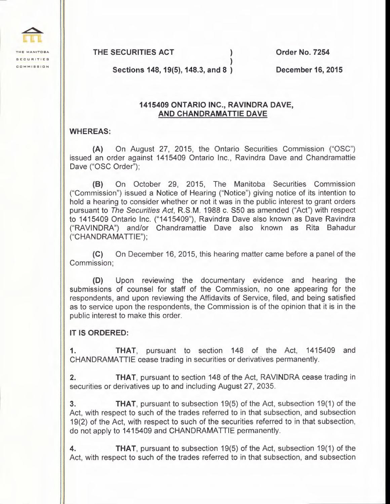**THE MANITOBA SECURITIES COMMISSION** 

**THE SECURITIES ACT** )

**Order No. 7254** 

**Sections 148, 19(5), 148.3, and 8** )

**December 16, 2015** 

## **1415409 ONTARIO INC., RAVINDRA DAVE, AND CHANDRAMATTIE DAVE**

)

## **WHEREAS:**

**(A)** On August 27, 2015, the Ontario Securities Commission ("OSC") issued an order against 1415409 Ontario Inc., Ravindra Dave and Chandramattie Dave ("OSC Order");

**(8)** On October 29, 2015, The Manitoba Securities Commission ("Commission") issued a Notice of Hearing ("Notice") giving notice of its intention to hold a hearing to consider whether or not it was in the public interest to grant orders pursuant to The Securities Act, R.S.M. 1988 c. S50 as amended ("Act") with respect to 1415409 Ontario Inc. ("1415409"), Ravindra Dave also known as Dave Ravindra ("RAVINDRA") and/or Chandramattie Dave also known as Rita Bahadur ("CHANDRAMATTIE");

**(C)** On December 16, 2015, this hearing matter came before a panel of the Commission;

**(D)** Upon reviewing the documentary evidence and hearing the submissions of counsel for staff of the Commission, no one appearing for the respondents, and upon reviewing the Affidavits of Service, filed, and being satisfied as to service upon the respondents, the Commission is of the opinion that it is in the public interest to make this order.

## **IT IS ORDERED:**

**1. THAT,** pursuant to section 148 of the Act, 1415409 and CHANDRAMATTIE cease trading in securities or derivatives permanently.

**2. THAT,** pursuant to section 148 of the Act, RAVINDRA cease trading in securities or derivatives up to and including August 27, 2035.

**3. THAT,** pursuant to subsection 19(5) of the Act, subsection 19(1) of the Act, with respect to such of the trades referred to in that subsection, and subsection 19(2) of the Act, with respect to such of the securities referred to in that subsection, do not apply to 1415409 and CHANDRAMATTIE permanently.

**4. THAT,** pursuant to subsection 19(5) of the Act, subsection 19(1) of the Act, with respect to such of the trades referred to in that subsection, and subsection